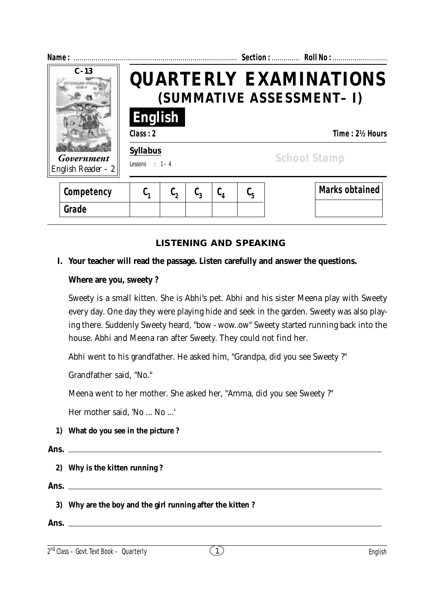| Name:                                         |                                                                       |  |  |               |                               | Section:  Roll No :   |  |  |
|-----------------------------------------------|-----------------------------------------------------------------------|--|--|---------------|-------------------------------|-----------------------|--|--|
| $C - 13$<br>Government<br>English Reader $-2$ | <b>QUARTERLY EXAMINATIONS</b><br>(SUMMATIVE ASSESSMENT- I)<br>English |  |  |               |                               |                       |  |  |
|                                               | Class: 2                                                              |  |  |               |                               | Time: 2½ Hours        |  |  |
|                                               | <b>Syllabus</b><br>Lessons : $1-4$                                    |  |  |               |                               | <b>School Stamp</b>   |  |  |
| Competency                                    |                                                                       |  |  | $C_{\Lambda}$ | $\mathfrak{c}_{\mathfrak{s}}$ | <b>Marks obtained</b> |  |  |

## **LISTENING AND SPEAKING**

### **I. Your teacher will read the passage. Listen carefully and answer the questions.**

#### **Where are you, sweety ?**

**Grade**

Sweety is a small kitten. She is Abhi's pet. Abhi and his sister Meena play with Sweety every day. One day they were playing hide and seek in the garden. Sweety was also playing there. Suddenly Sweety heard, "bow - wow..ow" Sweety started running back into the house. Abhi and Meena ran after Sweety. They could not find her.

Abhi went to his grandfather. He asked him, "Grandpa, did you see Sweety ?"

Grandfather said, "No."

Meena went to her mother. She asked her, "Amma, did you see Sweety ?"

Her mother said, 'No ... No ...'

### **1) What do you see in the picture ?**

#### **Ans.**

**2) Why is the kitten running ?**

#### **Ans.**

- **3) Why are the boy and the girl running after the kitten ?**
- **Ans.**

<sup>2&</sup>lt;sup>nd</sup> Class – Govt. Text Book – Quarterly English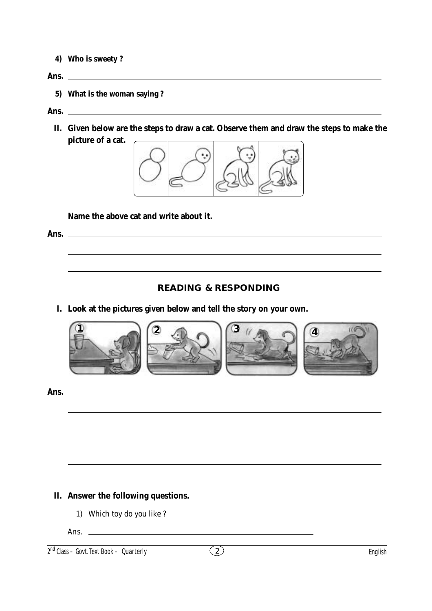- **4) Who is sweety ?**
- **Ans.**
	- **5) What is the woman saying ?**
- **Ans.**
	- **II. Given below are the steps to draw a cat. Observe them and draw the steps to make the picture of a cat.**



### **Name the above cat and write about it.**

**Ans.**

# **READING & RESPONDING**

**I. Look at the pictures given below and tell the story on your own.**



**Ans.**

### **II. Answer the following questions.**

- 1) Which toy do you like ?
- Ans.

<sup>2</sup> 2 nd Class – Govt. Text Book – **Quarterly** English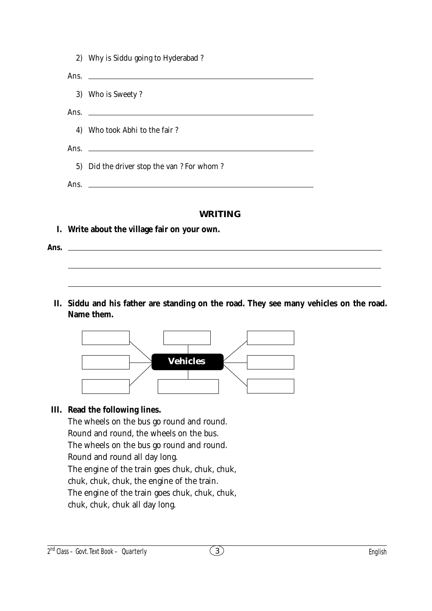|      | 2) Why is Siddu going to Hyderabad?                                                                                                                                                                                           |
|------|-------------------------------------------------------------------------------------------------------------------------------------------------------------------------------------------------------------------------------|
| Ans. | <u> 1989 - Johann John Stone, meil in der Stone aus der Stone aus der Stone aus der Stone aus der Stone aus der S</u>                                                                                                         |
|      | 3) Who is Sweety?                                                                                                                                                                                                             |
|      | Ans.                                                                                                                                                                                                                          |
|      | 4) Who took Abhi to the fair?                                                                                                                                                                                                 |
|      | Ans. $\qquad \qquad$                                                                                                                                                                                                          |
|      | 5) Did the driver stop the van? For whom?                                                                                                                                                                                     |
| Ans. | the control of the control of the control of the control of the control of the control of the control of the control of the control of the control of the control of the control of the control of the control of the control |
|      | WRITING                                                                                                                                                                                                                       |

## **I. Write about the village fair on your own.**

**Ans.**

**II. Siddu and his father are standing on the road. They see many vehicles on the road. Name them.**

<u> 1989 - Johann Barbara, martxa amerikan per</u>



## **III. Read the following lines.**

The wheels on the bus go round and round. Round and round, the wheels on the bus. The wheels on the bus go round and round. Round and round all day long. The engine of the train goes chuk, chuk, chuk, chuk, chuk, chuk, the engine of the train. The engine of the train goes chuk, chuk, chuk, chuk, chuk, chuk all day long.